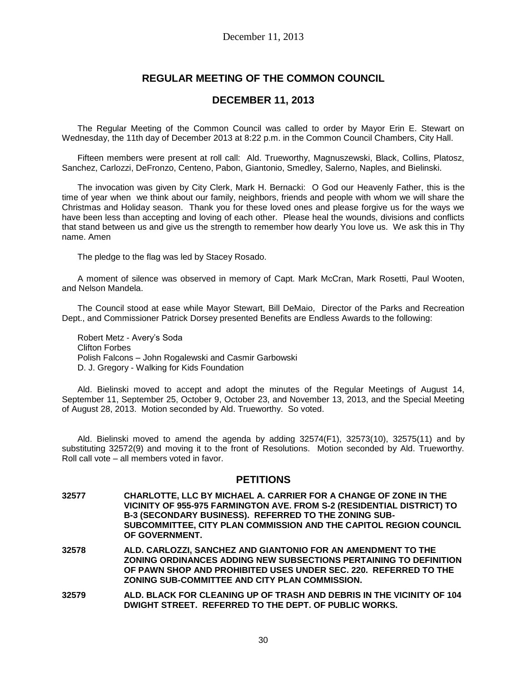# **REGULAR MEETING OF THE COMMON COUNCIL**

## **DECEMBER 11, 2013**

The Regular Meeting of the Common Council was called to order by Mayor Erin E. Stewart on Wednesday, the 11th day of December 2013 at 8:22 p.m. in the Common Council Chambers, City Hall.

Fifteen members were present at roll call: Ald. Trueworthy, Magnuszewski, Black, Collins, Platosz, Sanchez, Carlozzi, DeFronzo, Centeno, Pabon, Giantonio, Smedley, Salerno, Naples, and Bielinski.

The invocation was given by City Clerk, Mark H. Bernacki: O God our Heavenly Father, this is the time of year when we think about our family, neighbors, friends and people with whom we will share the Christmas and Holiday season. Thank you for these loved ones and please forgive us for the ways we have been less than accepting and loving of each other. Please heal the wounds, divisions and conflicts that stand between us and give us the strength to remember how dearly You love us. We ask this in Thy name. Amen

The pledge to the flag was led by Stacey Rosado.

A moment of silence was observed in memory of Capt. Mark McCran, Mark Rosetti, Paul Wooten, and Nelson Mandela.

The Council stood at ease while Mayor Stewart, Bill DeMaio, Director of the Parks and Recreation Dept., and Commissioner Patrick Dorsey presented Benefits are Endless Awards to the following:

Robert Metz - Avery's Soda Clifton Forbes Polish Falcons – John Rogalewski and Casmir Garbowski D. J. Gregory - Walking for Kids Foundation

Ald. Bielinski moved to accept and adopt the minutes of the Regular Meetings of August 14, September 11, September 25, October 9, October 23, and November 13, 2013, and the Special Meeting of August 28, 2013. Motion seconded by Ald. Trueworthy. So voted.

Ald. Bielinski moved to amend the agenda by adding 32574(F1), 32573(10), 32575(11) and by substituting 32572(9) and moving it to the front of Resolutions. Motion seconded by Ald. Trueworthy. Roll call vote – all members voted in favor.

## **PETITIONS**

- **32577 CHARLOTTE, LLC BY MICHAEL A. CARRIER FOR A CHANGE OF ZONE IN THE VICINITY OF 955-975 FARMINGTON AVE. FROM S-2 (RESIDENTIAL DISTRICT) TO B-3 (SECONDARY BUSINESS). REFERRED TO THE ZONING SUB-SUBCOMMITTEE, CITY PLAN COMMISSION AND THE CAPITOL REGION COUNCIL OF GOVERNMENT.**
- **32578 ALD. CARLOZZI, SANCHEZ AND GIANTONIO FOR AN AMENDMENT TO THE ZONING ORDINANCES ADDING NEW SUBSECTIONS PERTAINING TO DEFINITION OF PAWN SHOP AND PROHIBITED USES UNDER SEC. 220. REFERRED TO THE ZONING SUB-COMMITTEE AND CITY PLAN COMMISSION.**
- **32579 ALD. BLACK FOR CLEANING UP OF TRASH AND DEBRIS IN THE VICINITY OF 104 DWIGHT STREET. REFERRED TO THE DEPT. OF PUBLIC WORKS.**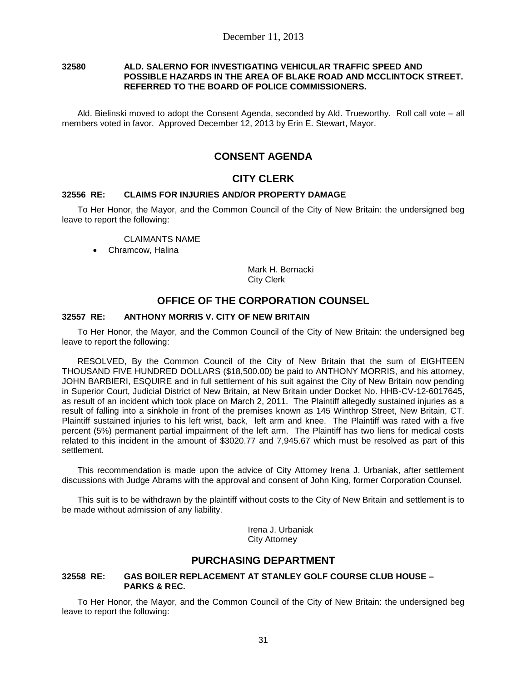### **32580 ALD. SALERNO FOR INVESTIGATING VEHICULAR TRAFFIC SPEED AND POSSIBLE HAZARDS IN THE AREA OF BLAKE ROAD AND MCCLINTOCK STREET. REFERRED TO THE BOARD OF POLICE COMMISSIONERS.**

Ald. Bielinski moved to adopt the Consent Agenda, seconded by Ald. Trueworthy. Roll call vote – all members voted in favor. Approved December 12, 2013 by Erin E. Stewart, Mayor.

# **CONSENT AGENDA**

## **CITY CLERK**

## **32556 RE: CLAIMS FOR INJURIES AND/OR PROPERTY DAMAGE**

To Her Honor, the Mayor, and the Common Council of the City of New Britain: the undersigned beg leave to report the following:

CLAIMANTS NAME

Chramcow, Halina

Mark H. Bernacki City Clerk

# **OFFICE OF THE CORPORATION COUNSEL**

## **32557 RE: ANTHONY MORRIS V. CITY OF NEW BRITAIN**

To Her Honor, the Mayor, and the Common Council of the City of New Britain: the undersigned beg leave to report the following:

RESOLVED, By the Common Council of the City of New Britain that the sum of EIGHTEEN THOUSAND FIVE HUNDRED DOLLARS (\$18,500.00) be paid to ANTHONY MORRIS, and his attorney, JOHN BARBIERI, ESQUIRE and in full settlement of his suit against the City of New Britain now pending in Superior Court, Judicial District of New Britain, at New Britain under Docket No. HHB-CV-12-6017645, as result of an incident which took place on March 2, 2011. The Plaintiff allegedly sustained injuries as a result of falling into a sinkhole in front of the premises known as 145 Winthrop Street, New Britain, CT. Plaintiff sustained injuries to his left wrist, back, left arm and knee. The Plaintiff was rated with a five percent (5%) permanent partial impairment of the left arm. The Plaintiff has two liens for medical costs related to this incident in the amount of \$3020.77 and 7,945.67 which must be resolved as part of this settlement.

This recommendation is made upon the advice of City Attorney Irena J. Urbaniak, after settlement discussions with Judge Abrams with the approval and consent of John King, former Corporation Counsel.

This suit is to be withdrawn by the plaintiff without costs to the City of New Britain and settlement is to be made without admission of any liability.

> Irena J. Urbaniak City Attorney

## **PURCHASING DEPARTMENT**

### **32558 RE: GAS BOILER REPLACEMENT AT STANLEY GOLF COURSE CLUB HOUSE – PARKS & REC.**

To Her Honor, the Mayor, and the Common Council of the City of New Britain: the undersigned beg leave to report the following: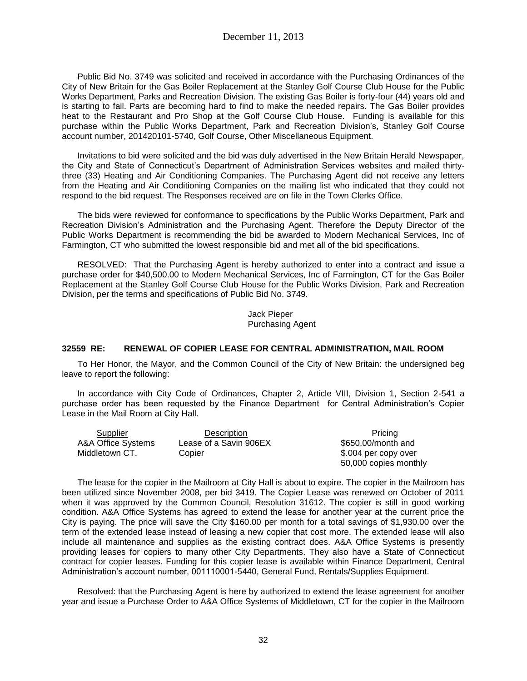Public Bid No. 3749 was solicited and received in accordance with the Purchasing Ordinances of the City of New Britain for the Gas Boiler Replacement at the Stanley Golf Course Club House for the Public Works Department, Parks and Recreation Division. The existing Gas Boiler is forty-four (44) years old and is starting to fail. Parts are becoming hard to find to make the needed repairs. The Gas Boiler provides heat to the Restaurant and Pro Shop at the Golf Course Club House. Funding is available for this purchase within the Public Works Department, Park and Recreation Division's, Stanley Golf Course account number, 201420101-5740, Golf Course, Other Miscellaneous Equipment.

Invitations to bid were solicited and the bid was duly advertised in the New Britain Herald Newspaper, the City and State of Connecticut's Department of Administration Services websites and mailed thirtythree (33) Heating and Air Conditioning Companies. The Purchasing Agent did not receive any letters from the Heating and Air Conditioning Companies on the mailing list who indicated that they could not respond to the bid request. The Responses received are on file in the Town Clerks Office.

The bids were reviewed for conformance to specifications by the Public Works Department, Park and Recreation Division's Administration and the Purchasing Agent. Therefore the Deputy Director of the Public Works Department is recommending the bid be awarded to Modern Mechanical Services, Inc of Farmington, CT who submitted the lowest responsible bid and met all of the bid specifications.

RESOLVED: That the Purchasing Agent is hereby authorized to enter into a contract and issue a purchase order for \$40,500.00 to Modern Mechanical Services, Inc of Farmington, CT for the Gas Boiler Replacement at the Stanley Golf Course Club House for the Public Works Division, Park and Recreation Division, per the terms and specifications of Public Bid No. 3749.

> Jack Pieper Purchasing Agent

### **32559 RE: RENEWAL OF COPIER LEASE FOR CENTRAL ADMINISTRATION, MAIL ROOM**

To Her Honor, the Mayor, and the Common Council of the City of New Britain: the undersigned beg leave to report the following:

In accordance with City Code of Ordinances, Chapter 2, Article VIII, Division 1, Section 2-541 a purchase order has been requested by the Finance Department for Central Administration's Copier Lease in the Mail Room at City Hall.

| Supplier           | Description            | <b>Pricing</b>        |
|--------------------|------------------------|-----------------------|
| A&A Office Systems | Lease of a Savin 906EX | \$650,00/month and    |
| Middletown CT.     | Copier                 | \$.004 per copy over  |
|                    |                        | 50,000 copies monthly |

The lease for the copier in the Mailroom at City Hall is about to expire. The copier in the Mailroom has been utilized since November 2008, per bid 3419. The Copier Lease was renewed on October of 2011 when it was approved by the Common Council, Resolution 31612. The copier is still in good working condition. A&A Office Systems has agreed to extend the lease for another year at the current price the City is paying. The price will save the City \$160.00 per month for a total savings of \$1,930.00 over the term of the extended lease instead of leasing a new copier that cost more. The extended lease will also include all maintenance and supplies as the existing contract does. A&A Office Systems is presently providing leases for copiers to many other City Departments. They also have a State of Connecticut contract for copier leases. Funding for this copier lease is available within Finance Department, Central Administration's account number, 001110001-5440, General Fund, Rentals/Supplies Equipment.

Resolved: that the Purchasing Agent is here by authorized to extend the lease agreement for another year and issue a Purchase Order to A&A Office Systems of Middletown, CT for the copier in the Mailroom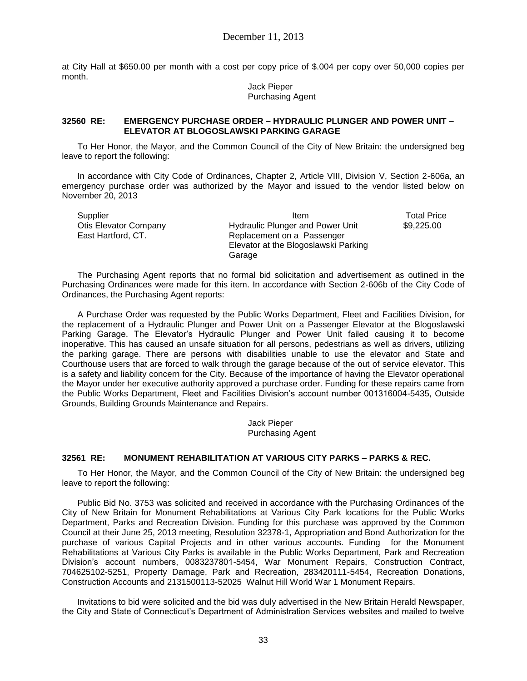at City Hall at \$650.00 per month with a cost per copy price of \$.004 per copy over 50,000 copies per month.

> Jack Pieper Purchasing Agent

#### **32560 RE: EMERGENCY PURCHASE ORDER – HYDRAULIC PLUNGER AND POWER UNIT – ELEVATOR AT BLOGOSLAWSKI PARKING GARAGE**

To Her Honor, the Mayor, and the Common Council of the City of New Britain: the undersigned beg leave to report the following:

In accordance with City Code of Ordinances, Chapter 2, Article VIII, Division V, Section 2-606a, an emergency purchase order was authorized by the Mayor and issued to the vendor listed below on November 20, 2013

| Supplier                     | Item                                 | Total Price |
|------------------------------|--------------------------------------|-------------|
| <b>Otis Elevator Company</b> | Hydraulic Plunger and Power Unit     | \$9,225.00  |
| East Hartford, CT.           | Replacement on a Passenger           |             |
|                              | Elevator at the Blogoslawski Parking |             |
|                              | Garage                               |             |

The Purchasing Agent reports that no formal bid solicitation and advertisement as outlined in the Purchasing Ordinances were made for this item. In accordance with Section 2-606b of the City Code of Ordinances, the Purchasing Agent reports:

A Purchase Order was requested by the Public Works Department, Fleet and Facilities Division, for the replacement of a Hydraulic Plunger and Power Unit on a Passenger Elevator at the Blogoslawski Parking Garage. The Elevator's Hydraulic Plunger and Power Unit failed causing it to become inoperative. This has caused an unsafe situation for all persons, pedestrians as well as drivers, utilizing the parking garage. There are persons with disabilities unable to use the elevator and State and Courthouse users that are forced to walk through the garage because of the out of service elevator. This is a safety and liability concern for the City. Because of the importance of having the Elevator operational the Mayor under her executive authority approved a purchase order. Funding for these repairs came from the Public Works Department, Fleet and Facilities Division's account number 001316004-5435, Outside Grounds, Building Grounds Maintenance and Repairs.

> Jack Pieper Purchasing Agent

## **32561 RE: MONUMENT REHABILITATION AT VARIOUS CITY PARKS – PARKS & REC.**

To Her Honor, the Mayor, and the Common Council of the City of New Britain: the undersigned beg leave to report the following:

Public Bid No. 3753 was solicited and received in accordance with the Purchasing Ordinances of the City of New Britain for Monument Rehabilitations at Various City Park locations for the Public Works Department, Parks and Recreation Division. Funding for this purchase was approved by the Common Council at their June 25, 2013 meeting, Resolution 32378-1, Appropriation and Bond Authorization for the purchase of various Capital Projects and in other various accounts. Funding for the Monument Rehabilitations at Various City Parks is available in the Public Works Department, Park and Recreation Division's account numbers, 0083237801-5454, War Monument Repairs, Construction Contract, 704625102-5251, Property Damage, Park and Recreation, 283420111-5454, Recreation Donations, Construction Accounts and 2131500113-52025 Walnut Hill World War 1 Monument Repairs.

Invitations to bid were solicited and the bid was duly advertised in the New Britain Herald Newspaper, the City and State of Connecticut's Department of Administration Services websites and mailed to twelve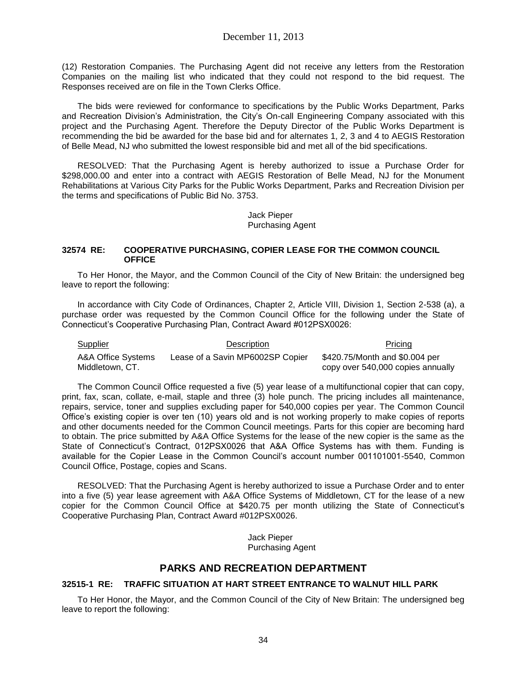(12) Restoration Companies. The Purchasing Agent did not receive any letters from the Restoration Companies on the mailing list who indicated that they could not respond to the bid request. The Responses received are on file in the Town Clerks Office.

The bids were reviewed for conformance to specifications by the Public Works Department, Parks and Recreation Division's Administration, the City's On-call Engineering Company associated with this project and the Purchasing Agent. Therefore the Deputy Director of the Public Works Department is recommending the bid be awarded for the base bid and for alternates 1, 2, 3 and 4 to AEGIS Restoration of Belle Mead, NJ who submitted the lowest responsible bid and met all of the bid specifications.

RESOLVED: That the Purchasing Agent is hereby authorized to issue a Purchase Order for \$298,000.00 and enter into a contract with AEGIS Restoration of Belle Mead, NJ for the Monument Rehabilitations at Various City Parks for the Public Works Department, Parks and Recreation Division per the terms and specifications of Public Bid No. 3753.

> Jack Pieper Purchasing Agent

### **32574 RE: COOPERATIVE PURCHASING, COPIER LEASE FOR THE COMMON COUNCIL OFFICE**

To Her Honor, the Mayor, and the Common Council of the City of New Britain: the undersigned beg leave to report the following:

In accordance with City Code of Ordinances, Chapter 2, Article VIII, Division 1, Section 2-538 (a), a purchase order was requested by the Common Council Office for the following under the State of Connecticut's Cooperative Purchasing Plan, Contract Award #012PSX0026:

Supplier **Description Description Pricing** 

A&A Office Systems Middletown, CT. Lease of a Savin MP6002SP Copier \$420.75/Month and \$0.004 per

copy over 540,000 copies annually

The Common Council Office requested a five (5) year lease of a multifunctional copier that can copy, print, fax, scan, collate, e-mail, staple and three (3) hole punch. The pricing includes all maintenance, repairs, service, toner and supplies excluding paper for 540,000 copies per year. The Common Council Office's existing copier is over ten (10) years old and is not working properly to make copies of reports and other documents needed for the Common Council meetings. Parts for this copier are becoming hard to obtain. The price submitted by A&A Office Systems for the lease of the new copier is the same as the State of Connecticut's Contract, 012PSX0026 that A&A Office Systems has with them. Funding is available for the Copier Lease in the Common Council's account number 001101001-5540, Common Council Office, Postage, copies and Scans.

RESOLVED: That the Purchasing Agent is hereby authorized to issue a Purchase Order and to enter into a five (5) year lease agreement with A&A Office Systems of Middletown, CT for the lease of a new copier for the Common Council Office at \$420.75 per month utilizing the State of Connecticut's Cooperative Purchasing Plan, Contract Award #012PSX0026.

> Jack Pieper Purchasing Agent

## **PARKS AND RECREATION DEPARTMENT**

## **32515-1 RE: TRAFFIC SITUATION AT HART STREET ENTRANCE TO WALNUT HILL PARK**

To Her Honor, the Mayor, and the Common Council of the City of New Britain: The undersigned beg leave to report the following: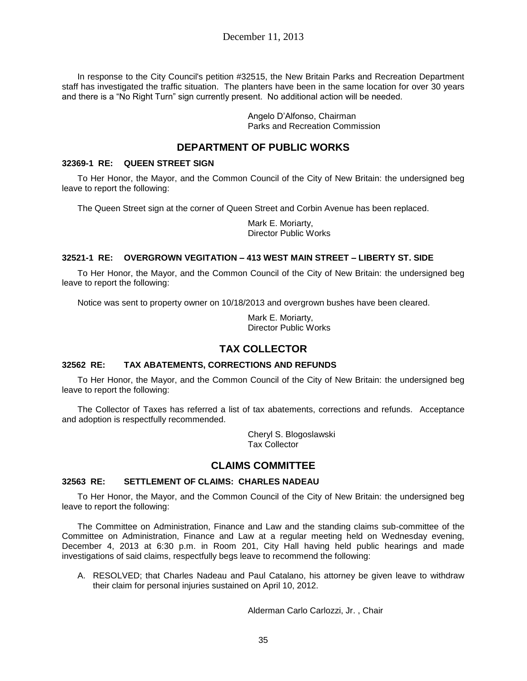In response to the City Council's petition #32515, the New Britain Parks and Recreation Department staff has investigated the traffic situation. The planters have been in the same location for over 30 years and there is a "No Right Turn" sign currently present. No additional action will be needed.

> Angelo D'Alfonso, Chairman Parks and Recreation Commission

# **DEPARTMENT OF PUBLIC WORKS**

## **32369-1 RE: QUEEN STREET SIGN**

To Her Honor, the Mayor, and the Common Council of the City of New Britain: the undersigned beg leave to report the following:

The Queen Street sign at the corner of Queen Street and Corbin Avenue has been replaced.

Mark E. Moriarty, Director Public Works

## **32521-1 RE: OVERGROWN VEGITATION – 413 WEST MAIN STREET – LIBERTY ST. SIDE**

To Her Honor, the Mayor, and the Common Council of the City of New Britain: the undersigned beg leave to report the following:

Notice was sent to property owner on 10/18/2013 and overgrown bushes have been cleared.

Mark E. Moriarty, Director Public Works

## **TAX COLLECTOR**

## **32562 RE: TAX ABATEMENTS, CORRECTIONS AND REFUNDS**

To Her Honor, the Mayor, and the Common Council of the City of New Britain: the undersigned beg leave to report the following:

The Collector of Taxes has referred a list of tax abatements, corrections and refunds. Acceptance and adoption is respectfully recommended.

> Cheryl S. Blogoslawski Tax Collector

## **CLAIMS COMMITTEE**

## **32563 RE: SETTLEMENT OF CLAIMS: CHARLES NADEAU**

To Her Honor, the Mayor, and the Common Council of the City of New Britain: the undersigned beg leave to report the following:

The Committee on Administration, Finance and Law and the standing claims sub-committee of the Committee on Administration, Finance and Law at a regular meeting held on Wednesday evening, December 4, 2013 at 6:30 p.m. in Room 201, City Hall having held public hearings and made investigations of said claims, respectfully begs leave to recommend the following:

A. RESOLVED; that Charles Nadeau and Paul Catalano, his attorney be given leave to withdraw their claim for personal injuries sustained on April 10, 2012.

Alderman Carlo Carlozzi, Jr. , Chair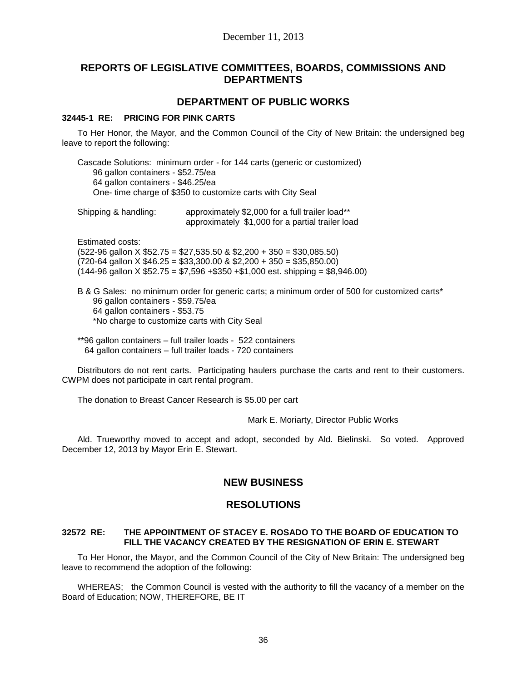## **REPORTS OF LEGISLATIVE COMMITTEES, BOARDS, COMMISSIONS AND DEPARTMENTS**

## **DEPARTMENT OF PUBLIC WORKS**

### **32445-1 RE: PRICING FOR PINK CARTS**

To Her Honor, the Mayor, and the Common Council of the City of New Britain: the undersigned beg leave to report the following:

Cascade Solutions: minimum order - for 144 carts (generic or customized) 96 gallon containers - \$52.75/ea 64 gallon containers - \$46.25/ea One- time charge of \$350 to customize carts with City Seal

Shipping & handling: approximately \$2,000 for a full trailer load\*\* approximately \$1,000 for a partial trailer load

Estimated costs:  $(522-96$  gallon X \$52.75 = \$27,535.50 & \$2,200 + 350 = \$30,085.50)

 $(720-64 \text{ gallon X } $46.25 = $33,300.00 \& $2,200 + 350 = $35,850.00)$  $(144-96 \text{ gallon X } $52.75 = $7,596 + $350 + $1,000 \text{ est. shipping} = $8,946.00)$ 

B & G Sales: no minimum order for generic carts; a minimum order of 500 for customized carts\* 96 gallon containers - \$59.75/ea 64 gallon containers - \$53.75 \*No charge to customize carts with City Seal

\*\*96 gallon containers – full trailer loads - 522 containers 64 gallon containers – full trailer loads - 720 containers

Distributors do not rent carts. Participating haulers purchase the carts and rent to their customers. CWPM does not participate in cart rental program.

The donation to Breast Cancer Research is \$5.00 per cart

Mark E. Moriarty, Director Public Works

Ald. Trueworthy moved to accept and adopt, seconded by Ald. Bielinski. So voted. Approved December 12, 2013 by Mayor Erin E. Stewart.

# **NEW BUSINESS**

## **RESOLUTIONS**

## **32572 RE: THE APPOINTMENT OF STACEY E. ROSADO TO THE BOARD OF EDUCATION TO FILL THE VACANCY CREATED BY THE RESIGNATION OF ERIN E. STEWART**

To Her Honor, the Mayor, and the Common Council of the City of New Britain: The undersigned beg leave to recommend the adoption of the following:

WHEREAS; the Common Council is vested with the authority to fill the vacancy of a member on the Board of Education; NOW, THEREFORE, BE IT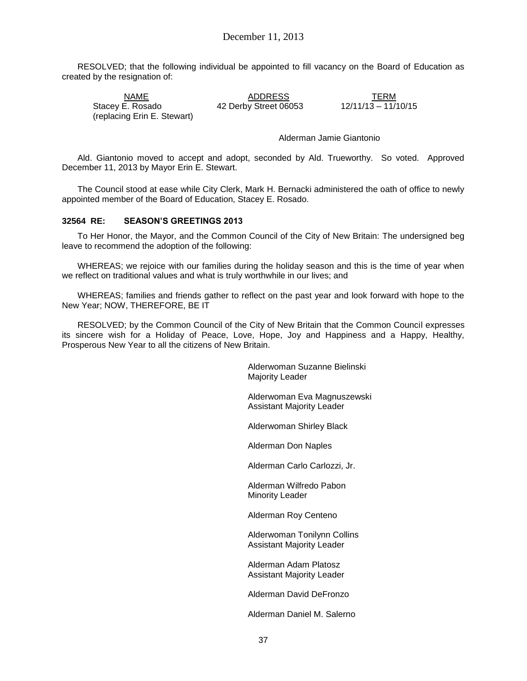RESOLVED; that the following individual be appointed to fill vacancy on the Board of Education as created by the resignation of:

NAME ADDRESS TERM Stacey E. Rosado 42 Derby Street 06053 (replacing Erin E. Stewart)

Alderman Jamie Giantonio

Ald. Giantonio moved to accept and adopt, seconded by Ald. Trueworthy. So voted. Approved December 11, 2013 by Mayor Erin E. Stewart.

The Council stood at ease while City Clerk, Mark H. Bernacki administered the oath of office to newly appointed member of the Board of Education, Stacey E. Rosado.

### **32564 RE: SEASON'S GREETINGS 2013**

To Her Honor, the Mayor, and the Common Council of the City of New Britain: The undersigned beg leave to recommend the adoption of the following:

WHEREAS; we rejoice with our families during the holiday season and this is the time of year when we reflect on traditional values and what is truly worthwhile in our lives; and

WHEREAS; families and friends gather to reflect on the past year and look forward with hope to the New Year; NOW, THEREFORE, BE IT

RESOLVED; by the Common Council of the City of New Britain that the Common Council expresses its sincere wish for a Holiday of Peace, Love, Hope, Joy and Happiness and a Happy, Healthy, Prosperous New Year to all the citizens of New Britain.

> Alderwoman Suzanne Bielinski Majority Leader

Alderwoman Eva Magnuszewski Assistant Majority Leader

Alderwoman Shirley Black

Alderman Don Naples

Alderman Carlo Carlozzi, Jr.

Alderman Wilfredo Pabon Minority Leader

Alderman Roy Centeno

Alderwoman Tonilynn Collins Assistant Majority Leader

Alderman Adam Platosz Assistant Majority Leader

Alderman David DeFronzo

Alderman Daniel M. Salerno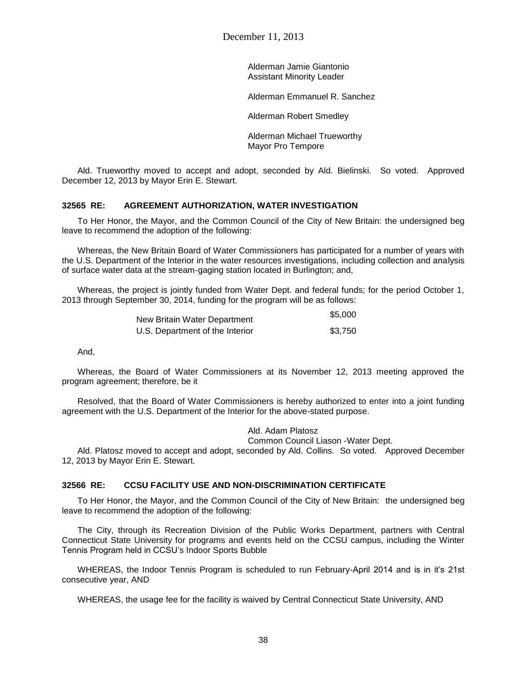Alderman Jamie Giantonio Assistant Minority Leader

Alderman Emmanuel R. Sanchez

Alderman Robert Smedley

Alderman Michael Trueworthy Mayor Pro Tempore

Ald. Trueworthy moved to accept and adopt, seconded by Ald. Bielinski. So voted. Approved December 12, 2013 by Mayor Erin E. Stewart.

## **32565 RE: AGREEMENT AUTHORIZATION, WATER INVESTIGATION**

To Her Honor, the Mayor, and the Common Council of the City of New Britain: the undersigned beg leave to recommend the adoption of the following:

Whereas, the New Britain Board of Water Commissioners has participated for a number of years with the U.S. Department of the Interior in the water resources investigations, including collection and analysis of surface water data at the stream-gaging station located in Burlington; and,

Whereas, the project is jointly funded from Water Dept. and federal funds; for the period October 1, 2013 through September 30, 2014, funding for the program will be as follows:

| New Britain Water Department    | \$5,000 |
|---------------------------------|---------|
| U.S. Department of the Interior | \$3.750 |

And,

Whereas, the Board of Water Commissioners at its November 12, 2013 meeting approved the program agreement; therefore, be it

Resolved, that the Board of Water Commissioners is hereby authorized to enter into a joint funding agreement with the U.S. Department of the Interior for the above-stated purpose.

Ald. Adam Platosz

#### Common Council Liason -Water Dept.

Ald. Platosz moved to accept and adopt, seconded by Ald. Collins. So voted. Approved December 12, 2013 by Mayor Erin E. Stewart.

### **32566 RE: CCSU FACILITY USE AND NON-DISCRIMINATION CERTIFICATE**

To Her Honor, the Mayor, and the Common Council of the City of New Britain: the undersigned beg leave to recommend the adoption of the following:

The City, through its Recreation Division of the Public Works Department, partners with Central Connecticut State University for programs and events held on the CCSU campus, including the Winter Tennis Program held in CCSU's Indoor Sports Bubble

WHEREAS, the Indoor Tennis Program is scheduled to run February-April 2014 and is in it's 21st consecutive year, AND

WHEREAS, the usage fee for the facility is waived by Central Connecticut State University, AND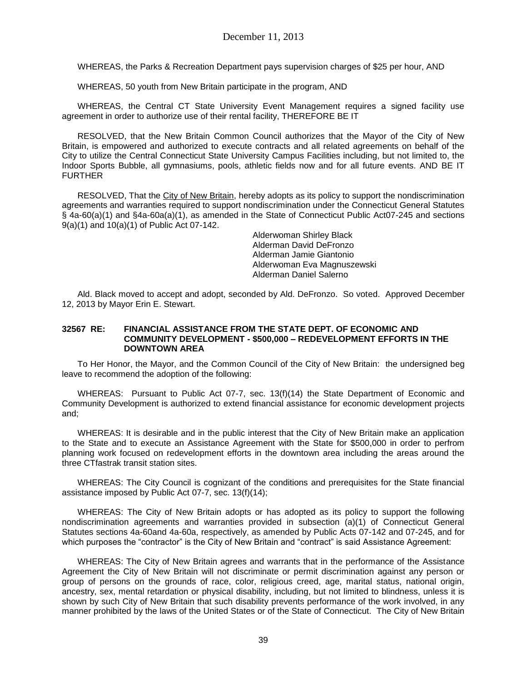WHEREAS, the Parks & Recreation Department pays supervision charges of \$25 per hour, AND

WHEREAS, 50 youth from New Britain participate in the program, AND

WHEREAS, the Central CT State University Event Management requires a signed facility use agreement in order to authorize use of their rental facility, THEREFORE BE IT

RESOLVED, that the New Britain Common Council authorizes that the Mayor of the City of New Britain, is empowered and authorized to execute contracts and all related agreements on behalf of the City to utilize the Central Connecticut State University Campus Facilities including, but not limited to, the Indoor Sports Bubble, all gymnasiums, pools, athletic fields now and for all future events. AND BE IT FURTHER

RESOLVED, That the City of New Britain, hereby adopts as its policy to support the nondiscrimination agreements and warranties required to support nondiscrimination under the Connecticut General Statutes § 4a-60(a)(1) and §4a-60a(a)(1), as amended in the State of Connecticut Public Act07-245 and sections 9(a)(1) and 10(a)(1) of Public Act 07-142.

 Alderwoman Shirley Black Alderman David DeFronzo Alderman Jamie Giantonio Alderwoman Eva Magnuszewski Alderman Daniel Salerno

Ald. Black moved to accept and adopt, seconded by Ald. DeFronzo. So voted. Approved December 12, 2013 by Mayor Erin E. Stewart.

### **32567 RE: FINANCIAL ASSISTANCE FROM THE STATE DEPT. OF ECONOMIC AND COMMUNITY DEVELOPMENT - \$500,000 – REDEVELOPMENT EFFORTS IN THE DOWNTOWN AREA**

To Her Honor, the Mayor, and the Common Council of the City of New Britain: the undersigned beg leave to recommend the adoption of the following:

WHEREAS: Pursuant to Public Act 07-7, sec. 13(f)(14) the State Department of Economic and Community Development is authorized to extend financial assistance for economic development projects and;

WHEREAS: It is desirable and in the public interest that the City of New Britain make an application to the State and to execute an Assistance Agreement with the State for \$500,000 in order to perfrom planning work focused on redevelopment efforts in the downtown area including the areas around the three CTfastrak transit station sites.

WHEREAS: The City Council is cognizant of the conditions and prerequisites for the State financial assistance imposed by Public Act 07-7, sec. 13(f)(14);

WHEREAS: The City of New Britain adopts or has adopted as its policy to support the following nondiscrimination agreements and warranties provided in subsection (a)(1) of Connecticut General Statutes sections 4a-60and 4a-60a, respectively, as amended by Public Acts 07-142 and 07-245, and for which purposes the "contractor" is the City of New Britain and "contract" is said Assistance Agreement:

WHEREAS: The City of New Britain agrees and warrants that in the performance of the Assistance Agreement the City of New Britain will not discriminate or permit discrimination against any person or group of persons on the grounds of race, color, religious creed, age, marital status, national origin, ancestry, sex, mental retardation or physical disability, including, but not limited to blindness, unless it is shown by such City of New Britain that such disability prevents performance of the work involved, in any manner prohibited by the laws of the United States or of the State of Connecticut. The City of New Britain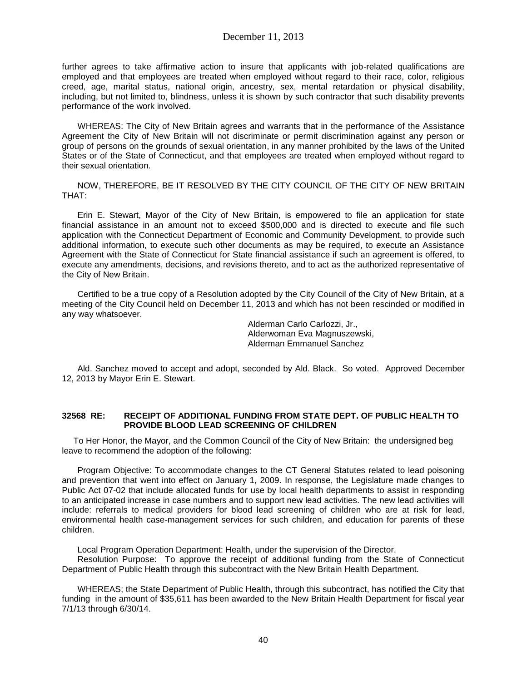further agrees to take affirmative action to insure that applicants with job-related qualifications are employed and that employees are treated when employed without regard to their race, color, religious creed, age, marital status, national origin, ancestry, sex, mental retardation or physical disability, including, but not limited to, blindness, unless it is shown by such contractor that such disability prevents performance of the work involved.

WHEREAS: The City of New Britain agrees and warrants that in the performance of the Assistance Agreement the City of New Britain will not discriminate or permit discrimination against any person or group of persons on the grounds of sexual orientation, in any manner prohibited by the laws of the United States or of the State of Connecticut, and that employees are treated when employed without regard to their sexual orientation.

NOW, THEREFORE, BE IT RESOLVED BY THE CITY COUNCIL OF THE CITY OF NEW BRITAIN THAT:

Erin E. Stewart, Mayor of the City of New Britain, is empowered to file an application for state financial assistance in an amount not to exceed \$500,000 and is directed to execute and file such application with the Connecticut Department of Economic and Community Development, to provide such additional information, to execute such other documents as may be required, to execute an Assistance Agreement with the State of Connecticut for State financial assistance if such an agreement is offered, to execute any amendments, decisions, and revisions thereto, and to act as the authorized representative of the City of New Britain.

Certified to be a true copy of a Resolution adopted by the City Council of the City of New Britain, at a meeting of the City Council held on December 11, 2013 and which has not been rescinded or modified in any way whatsoever.

> Alderman Carlo Carlozzi, Jr., Alderwoman Eva Magnuszewski, Alderman Emmanuel Sanchez

Ald. Sanchez moved to accept and adopt, seconded by Ald. Black. So voted. Approved December 12, 2013 by Mayor Erin E. Stewart.

### **32568 RE: RECEIPT OF ADDITIONAL FUNDING FROM STATE DEPT. OF PUBLIC HEALTH TO PROVIDE BLOOD LEAD SCREENING OF CHILDREN**

To Her Honor, the Mayor, and the Common Council of the City of New Britain: the undersigned beg leave to recommend the adoption of the following:

Program Objective: To accommodate changes to the CT General Statutes related to lead poisoning and prevention that went into effect on January 1, 2009. In response, the Legislature made changes to Public Act 07-02 that include allocated funds for use by local health departments to assist in responding to an anticipated increase in case numbers and to support new lead activities. The new lead activities will include: referrals to medical providers for blood lead screening of children who are at risk for lead, environmental health case-management services for such children, and education for parents of these children.

Local Program Operation Department: Health, under the supervision of the Director.

Resolution Purpose: To approve the receipt of additional funding from the State of Connecticut Department of Public Health through this subcontract with the New Britain Health Department.

WHEREAS; the State Department of Public Health, through this subcontract, has notified the City that funding in the amount of \$35,611 has been awarded to the New Britain Health Department for fiscal year 7/1/13 through 6/30/14.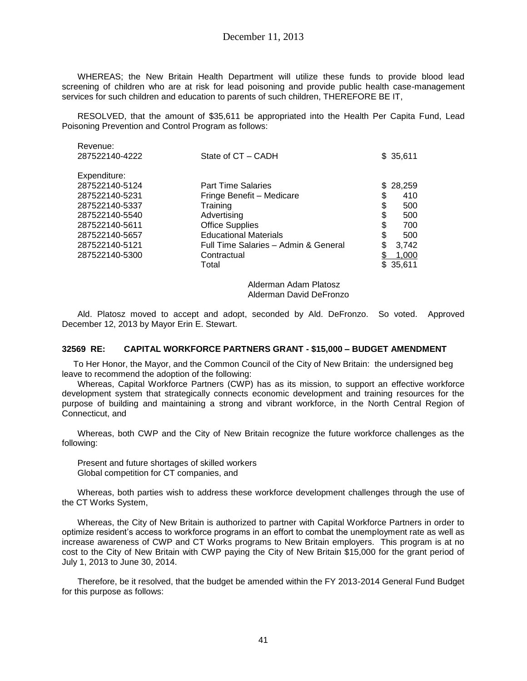WHEREAS; the New Britain Health Department will utilize these funds to provide blood lead screening of children who are at risk for lead poisoning and provide public health case-management services for such children and education to parents of such children, THEREFORE BE IT,

RESOLVED, that the amount of \$35,611 be appropriated into the Health Per Capita Fund, Lead Poisoning Prevention and Control Program as follows:

| Revenue.       |                                      |    |           |
|----------------|--------------------------------------|----|-----------|
| 287522140-4222 | State of CT - CADH                   |    | \$35,611  |
| Expenditure:   |                                      |    |           |
| 287522140-5124 | <b>Part Time Salaries</b>            | S. | 28,259    |
| 287522140-5231 | Fringe Benefit - Medicare            | \$ | 410       |
| 287522140-5337 | Training                             | \$ | 500       |
| 287522140-5540 | Advertising                          | \$ | 500       |
| 287522140-5611 | <b>Office Supplies</b>               | \$ | 700       |
| 287522140-5657 | <b>Educational Materials</b>         | \$ | 500       |
| 287522140-5121 | Full Time Salaries - Admin & General | S  | 3,742     |
| 287522140-5300 | Contractual                          |    | 1,000     |
|                | Total                                |    | \$ 35,611 |
|                |                                      |    |           |

Alderman Adam Platosz Alderman David DeFronzo

Ald. Platosz moved to accept and adopt, seconded by Ald. DeFronzo. So voted. Approved December 12, 2013 by Mayor Erin E. Stewart.

### **32569 RE: CAPITAL WORKFORCE PARTNERS GRANT - \$15,000 – BUDGET AMENDMENT**

To Her Honor, the Mayor, and the Common Council of the City of New Britain: the undersigned beg leave to recommend the adoption of the following:

Whereas, Capital Workforce Partners (CWP) has as its mission, to support an effective workforce development system that strategically connects economic development and training resources for the purpose of building and maintaining a strong and vibrant workforce, in the North Central Region of Connecticut, and

Whereas, both CWP and the City of New Britain recognize the future workforce challenges as the following:

Present and future shortages of skilled workers Global competition for CT companies, and

Revenue:

Whereas, both parties wish to address these workforce development challenges through the use of the CT Works System,

Whereas, the City of New Britain is authorized to partner with Capital Workforce Partners in order to optimize resident's access to workforce programs in an effort to combat the unemployment rate as well as increase awareness of CWP and CT Works programs to New Britain employers. This program is at no cost to the City of New Britain with CWP paying the City of New Britain \$15,000 for the grant period of July 1, 2013 to June 30, 2014.

Therefore, be it resolved, that the budget be amended within the FY 2013-2014 General Fund Budget for this purpose as follows: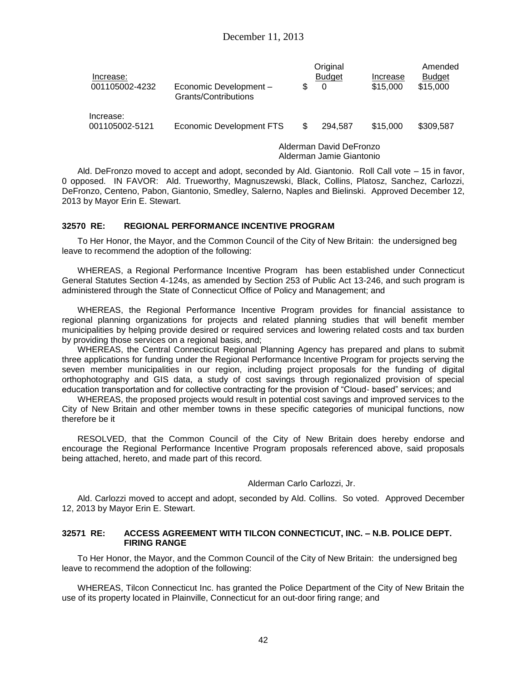| Increase:<br>001105002-4232 | Economic Development -<br>Grants/Contributions      |   | Original<br><b>Budget</b><br>0 | Increase<br>\$15,000 | Amended<br><b>Budget</b><br>\$15,000 |
|-----------------------------|-----------------------------------------------------|---|--------------------------------|----------------------|--------------------------------------|
| Increase:<br>001105002-5121 | <b>Economic Development FTS</b>                     | S | 294.587                        | \$15,000             | \$309,587                            |
|                             | Alderman David DeFronzo<br>Alderman Jamie Giantonio |   |                                |                      |                                      |

Ald. DeFronzo moved to accept and adopt, seconded by Ald. Giantonio. Roll Call vote – 15 in favor, 0 opposed. IN FAVOR: Ald. Trueworthy, Magnuszewski, Black, Collins, Platosz, Sanchez, Carlozzi, DeFronzo, Centeno, Pabon, Giantonio, Smedley, Salerno, Naples and Bielinski. Approved December 12, 2013 by Mayor Erin E. Stewart.

### **32570 RE: REGIONAL PERFORMANCE INCENTIVE PROGRAM**

To Her Honor, the Mayor, and the Common Council of the City of New Britain: the undersigned beg leave to recommend the adoption of the following:

WHEREAS, a Regional Performance Incentive Program has been established under Connecticut General Statutes Section 4-124s, as amended by Section 253 of Public Act 13-246, and such program is administered through the State of Connecticut Office of Policy and Management; and

WHEREAS, the Regional Performance Incentive Program provides for financial assistance to regional planning organizations for projects and related planning studies that will benefit member municipalities by helping provide desired or required services and lowering related costs and tax burden by providing those services on a regional basis, and;

WHEREAS, the Central Connecticut Regional Planning Agency has prepared and plans to submit three applications for funding under the Regional Performance Incentive Program for projects serving the seven member municipalities in our region, including project proposals for the funding of digital orthophotography and GIS data, a study of cost savings through regionalized provision of special education transportation and for collective contracting for the provision of "Cloud- based" services; and

WHEREAS, the proposed projects would result in potential cost savings and improved services to the City of New Britain and other member towns in these specific categories of municipal functions, now therefore be it

RESOLVED, that the Common Council of the City of New Britain does hereby endorse and encourage the Regional Performance Incentive Program proposals referenced above, said proposals being attached, hereto, and made part of this record.

Alderman Carlo Carlozzi, Jr.

Ald. Carlozzi moved to accept and adopt, seconded by Ald. Collins. So voted. Approved December 12, 2013 by Mayor Erin E. Stewart.

### **32571 RE: ACCESS AGREEMENT WITH TILCON CONNECTICUT, INC. – N.B. POLICE DEPT. FIRING RANGE**

To Her Honor, the Mayor, and the Common Council of the City of New Britain: the undersigned beg leave to recommend the adoption of the following:

WHEREAS, Tilcon Connecticut Inc. has granted the Police Department of the City of New Britain the use of its property located in Plainville, Connecticut for an out-door firing range; and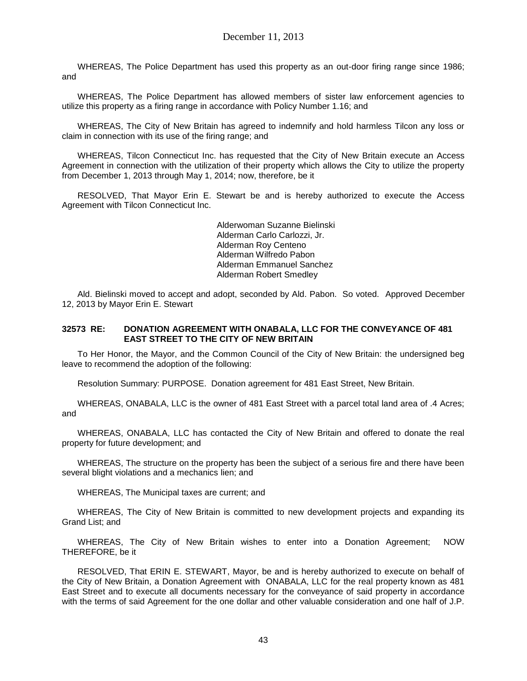WHEREAS, The Police Department has used this property as an out-door firing range since 1986; and

WHEREAS, The Police Department has allowed members of sister law enforcement agencies to utilize this property as a firing range in accordance with Policy Number 1.16; and

WHEREAS, The City of New Britain has agreed to indemnify and hold harmless Tilcon any loss or claim in connection with its use of the firing range; and

WHEREAS, Tilcon Connecticut Inc. has requested that the City of New Britain execute an Access Agreement in connection with the utilization of their property which allows the City to utilize the property from December 1, 2013 through May 1, 2014; now, therefore, be it

RESOLVED, That Mayor Erin E. Stewart be and is hereby authorized to execute the Access Agreement with Tilcon Connecticut Inc.

> Alderwoman Suzanne Bielinski Alderman Carlo Carlozzi, Jr. Alderman Roy Centeno Alderman Wilfredo Pabon Alderman Emmanuel Sanchez Alderman Robert Smedley

Ald. Bielinski moved to accept and adopt, seconded by Ald. Pabon. So voted. Approved December 12, 2013 by Mayor Erin E. Stewart

#### **32573 RE: DONATION AGREEMENT WITH ONABALA, LLC FOR THE CONVEYANCE OF 481 EAST STREET TO THE CITY OF NEW BRITAIN**

To Her Honor, the Mayor, and the Common Council of the City of New Britain: the undersigned beg leave to recommend the adoption of the following:

Resolution Summary: PURPOSE. Donation agreement for 481 East Street, New Britain.

WHEREAS, ONABALA, LLC is the owner of 481 East Street with a parcel total land area of .4 Acres; and

WHEREAS, ONABALA, LLC has contacted the City of New Britain and offered to donate the real property for future development; and

WHEREAS, The structure on the property has been the subject of a serious fire and there have been several blight violations and a mechanics lien; and

WHEREAS, The Municipal taxes are current; and

WHEREAS, The City of New Britain is committed to new development projects and expanding its Grand List; and

WHEREAS, The City of New Britain wishes to enter into a Donation Agreement; NOW THEREFORE, be it

RESOLVED, That ERIN E. STEWART, Mayor, be and is hereby authorized to execute on behalf of the City of New Britain, a Donation Agreement with ONABALA, LLC for the real property known as 481 East Street and to execute all documents necessary for the conveyance of said property in accordance with the terms of said Agreement for the one dollar and other valuable consideration and one half of J.P.